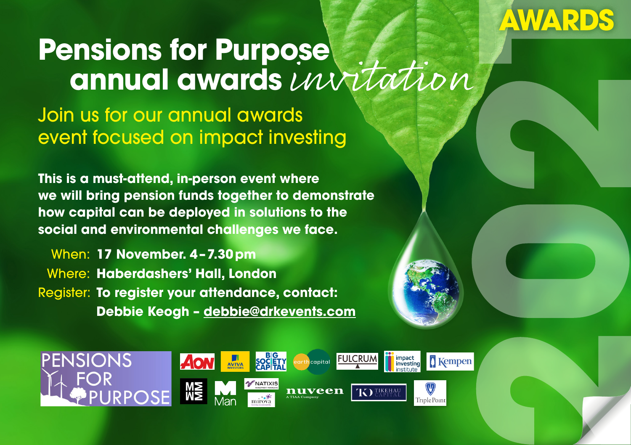# **AWARDS**

# **Pensions for Purpose annual awards** invitation

Join us for our annual awards event focused on impact investing

**This is a must-attend, in-person event where we will bring pension funds together to demonstrate how capital can be deployed in solutions to the social and environmental challenges we face.**

When: **17 November. 4–7.30pm** Where: **Haberdashers' Hall, London** Register: **To register your attendance, contact: Debbie Keogh – [debbie@drkevents.com](mailto:debbie%40drkevents.com?subject=Pensions%20for%20Purpose%20Awards%20attendance)**